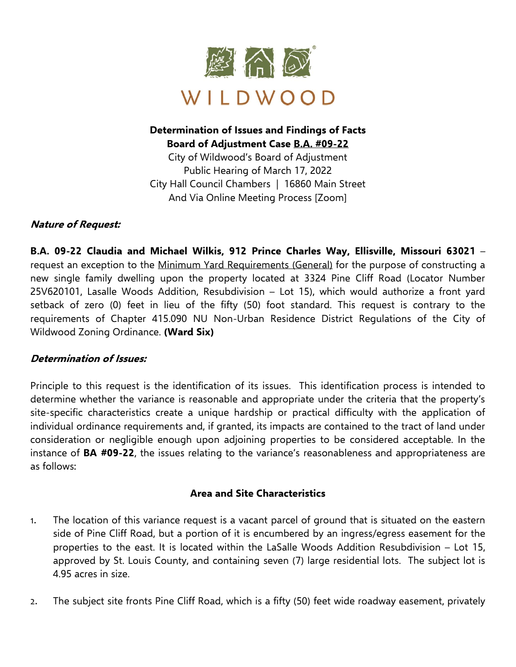

# **Determination of Issues and Findings of Facts Board of Adjustment Case B.A. #09-22**

City of Wildwood's Board of Adjustment Public Hearing of March 17, 2022 City Hall Council Chambers | 16860 Main Street And Via Online Meeting Process [Zoom]

# **Nature of Request:**

**B.A. 09-22 Claudia and Michael Wilkis, 912 Prince Charles Way, Ellisville, Missouri 63021** – request an exception to the Minimum Yard Requirements (General) for the purpose of constructing a new single family dwelling upon the property located at 3324 Pine Cliff Road (Locator Number 25V620101, Lasalle Woods Addition, Resubdivision – Lot 15), which would authorize a front yard setback of zero (0) feet in lieu of the fifty (50) foot standard. This request is contrary to the requirements of Chapter 415.090 NU Non-Urban Residence District Regulations of the City of Wildwood Zoning Ordinance. **(Ward Six)**

# **Determination of Issues:**

Principle to this request is the identification of its issues. This identification process is intended to determine whether the variance is reasonable and appropriate under the criteria that the property's site-specific characteristics create a unique hardship or practical difficulty with the application of individual ordinance requirements and, if granted, its impacts are contained to the tract of land under consideration or negligible enough upon adjoining properties to be considered acceptable. In the instance of **BA #09-22**, the issues relating to the variance's reasonableness and appropriateness are as follows:

# **Area and Site Characteristics**

- 1. The location of this variance request is a vacant parcel of ground that is situated on the eastern side of Pine Cliff Road, but a portion of it is encumbered by an ingress/egress easement for the properties to the east. It is located within the LaSalle Woods Addition Resubdivision – Lot 15, approved by St. Louis County, and containing seven (7) large residential lots. The subject lot is 4.95 acres in size.
- 2. The subject site fronts Pine Cliff Road, which is a fifty (50) feet wide roadway easement, privately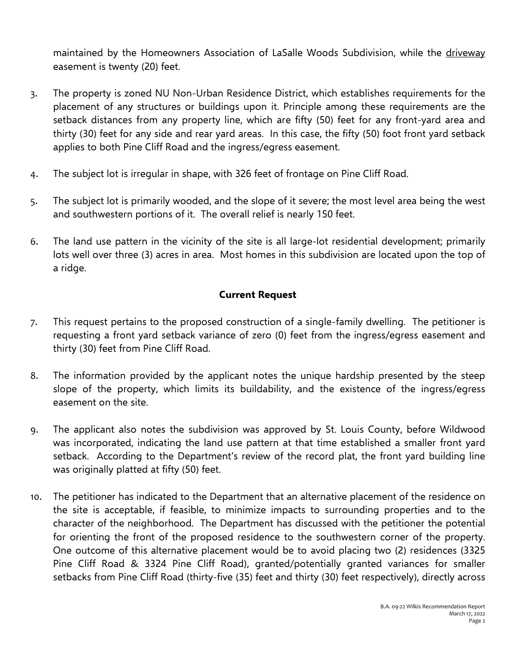maintained by the Homeowners Association of LaSalle Woods Subdivision, while the driveway easement is twenty (20) feet.

- 3. The property is zoned NU Non-Urban Residence District, which establishes requirements for the placement of any structures or buildings upon it. Principle among these requirements are the setback distances from any property line, which are fifty (50) feet for any front-yard area and thirty (30) feet for any side and rear yard areas. In this case, the fifty (50) foot front yard setback applies to both Pine Cliff Road and the ingress/egress easement.
- 4. The subject lot is irregular in shape, with 326 feet of frontage on Pine Cliff Road.
- 5. The subject lot is primarily wooded, and the slope of it severe; the most level area being the west and southwestern portions of it. The overall relief is nearly 150 feet.
- 6. The land use pattern in the vicinity of the site is all large-lot residential development; primarily lots well over three (3) acres in area. Most homes in this subdivision are located upon the top of a ridge.

#### **Current Request**

- 7. This request pertains to the proposed construction of a single-family dwelling. The petitioner is requesting a front yard setback variance of zero (0) feet from the ingress/egress easement and thirty (30) feet from Pine Cliff Road.
- 8. The information provided by the applicant notes the unique hardship presented by the steep slope of the property, which limits its buildability, and the existence of the ingress/egress easement on the site.
- 9. The applicant also notes the subdivision was approved by St. Louis County, before Wildwood was incorporated, indicating the land use pattern at that time established a smaller front yard setback. According to the Department's review of the record plat, the front yard building line was originally platted at fifty (50) feet.
- 10. The petitioner has indicated to the Department that an alternative placement of the residence on the site is acceptable, if feasible, to minimize impacts to surrounding properties and to the character of the neighborhood. The Department has discussed with the petitioner the potential for orienting the front of the proposed residence to the southwestern corner of the property. One outcome of this alternative placement would be to avoid placing two (2) residences (3325 Pine Cliff Road & 3324 Pine Cliff Road), granted/potentially granted variances for smaller setbacks from Pine Cliff Road (thirty-five (35) feet and thirty (30) feet respectively), directly across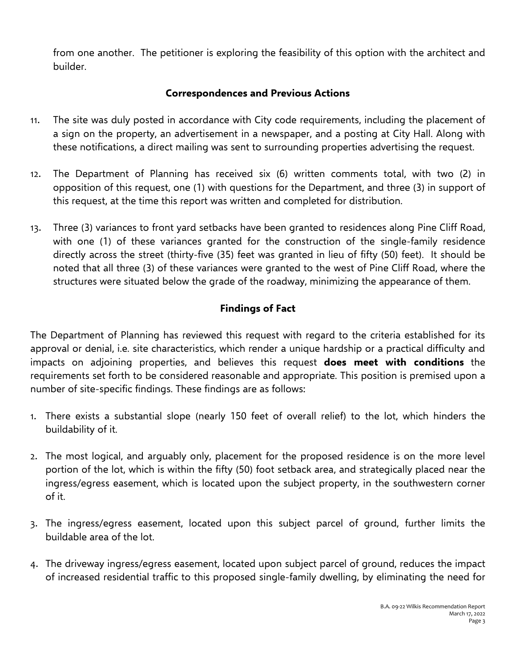from one another. The petitioner is exploring the feasibility of this option with the architect and builder.

#### **Correspondences and Previous Actions**

- 11. The site was duly posted in accordance with City code requirements, including the placement of a sign on the property, an advertisement in a newspaper, and a posting at City Hall. Along with these notifications, a direct mailing was sent to surrounding properties advertising the request.
- 12. The Department of Planning has received six (6) written comments total, with two (2) in opposition of this request, one (1) with questions for the Department, and three (3) in support of this request, at the time this report was written and completed for distribution.
- 13. Three (3) variances to front yard setbacks have been granted to residences along Pine Cliff Road, with one (1) of these variances granted for the construction of the single-family residence directly across the street (thirty-five (35) feet was granted in lieu of fifty (50) feet). It should be noted that all three (3) of these variances were granted to the west of Pine Cliff Road, where the structures were situated below the grade of the roadway, minimizing the appearance of them.

## **Findings of Fact**

The Department of Planning has reviewed this request with regard to the criteria established for its approval or denial, i.e. site characteristics, which render a unique hardship or a practical difficulty and impacts on adjoining properties, and believes this request **does meet with conditions** the requirements set forth to be considered reasonable and appropriate. This position is premised upon a number of site-specific findings. These findings are as follows:

- 1. There exists a substantial slope (nearly 150 feet of overall relief) to the lot, which hinders the buildability of it.
- 2. The most logical, and arguably only, placement for the proposed residence is on the more level portion of the lot, which is within the fifty (50) foot setback area, and strategically placed near the ingress/egress easement, which is located upon the subject property, in the southwestern corner of it.
- 3. The ingress/egress easement, located upon this subject parcel of ground, further limits the buildable area of the lot.
- 4. The driveway ingress/egress easement, located upon subject parcel of ground, reduces the impact of increased residential traffic to this proposed single-family dwelling, by eliminating the need for